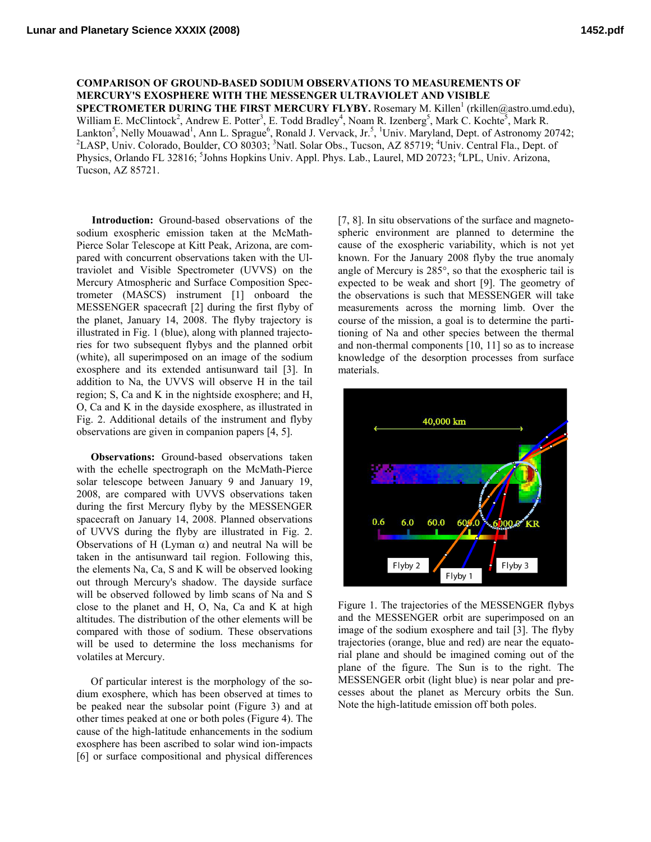**COMPARISON OF GROUND-BASED SODIUM OBSERVATIONS TO MEASUREMENTS OF MERCURY'S EXOSPHERE WITH THE MESSENGER ULTRAVIOLET AND VISIBLE**  SPECTROMETER DURING THE FIRST MERCURY FLYBY. Rosemary M. Killen<sup>1</sup> (rkillen@astro.umd.edu), William E. McClintock<sup>2</sup>, Andrew E. Potter<sup>3</sup>, E. Todd Bradley<sup>4</sup>, Noam R. Izenberg<sup>5</sup>, Mark C. Kochte<sup>5</sup>, Mark R. Lankton<sup>5</sup>, Nelly Mouawad<sup>1</sup>, Ann L. Sprague<sup>6</sup>, Ronald J. Vervack, Jr.<sup>5</sup>, <sup>1</sup>Univ. Maryland, Dept. of Astronomy 20742;<br><sup>2</sup>LASD Univ. Colorado. Boulder, CO 80202: <sup>3</sup>Netl. Solar Obs., Tuggen, AZ 85710; <sup>4</sup>Univ. Control E LASP, Univ. Colorado, Boulder, CO 80303; <sup>3</sup>Natl. Solar Obs., Tucson, AZ 85719; <sup>4</sup>Univ. Central Fla., Dept. of Physics, Orlando FL 32816; <sup>5</sup>Johns Hopkins Univ. Appl. Phys. Lab., Laurel, MD 20723; <sup>6</sup>LPL, Univ. Arizona, Tucson, AZ 85721.

**Introduction:** Ground-based observations of the sodium exospheric emission taken at the McMath-Pierce Solar Telescope at Kitt Peak, Arizona, are compared with concurrent observations taken with the Ultraviolet and Visible Spectrometer (UVVS) on the Mercury Atmospheric and Surface Composition Spectrometer (MASCS) instrument [1] onboard the MESSENGER spacecraft [2] during the first flyby of the planet, January 14, 2008. The flyby trajectory is illustrated in Fig. 1 (blue), along with planned trajectories for two subsequent flybys and the planned orbit (white), all superimposed on an image of the sodium exosphere and its extended antisunward tail [3]. In addition to Na, the UVVS will observe H in the tail region; S, Ca and K in the nightside exosphere; and H, O, Ca and K in the dayside exosphere, as illustrated in Fig. 2. Additional details of the instrument and flyby observations are given in companion papers [4, 5].

**Observations:** Ground-based observations taken with the echelle spectrograph on the McMath-Pierce solar telescope between January 9 and January 19, 2008, are compared with UVVS observations taken during the first Mercury flyby by the MESSENGER spacecraft on January 14, 2008. Planned observations of UVVS during the flyby are illustrated in Fig. 2. Observations of H (Lyman α) and neutral Na will be taken in the antisunward tail region. Following this, the elements Na, Ca, S and K will be observed looking out through Mercury's shadow. The dayside surface will be observed followed by limb scans of Na and S close to the planet and H, O, Na, Ca and K at high altitudes. The distribution of the other elements will be compared with those of sodium. These observations will be used to determine the loss mechanisms for volatiles at Mercury.

Of particular interest is the morphology of the sodium exosphere, which has been observed at times to be peaked near the subsolar point (Figure 3) and at other times peaked at one or both poles (Figure 4). The cause of the high-latitude enhancements in the sodium exosphere has been ascribed to solar wind ion-impacts [6] or surface compositional and physical differences [7, 8]. In situ observations of the surface and magnetospheric environment are planned to determine the cause of the exospheric variability, which is not yet known. For the January 2008 flyby the true anomaly angle of Mercury is 285°, so that the exospheric tail is expected to be weak and short [9]. The geometry of the observations is such that MESSENGER will take measurements across the morning limb. Over the course of the mission, a goal is to determine the partitioning of Na and other species between the thermal and non-thermal components [10, 11] so as to increase knowledge of the desorption processes from surface materials.



Figure 1. The trajectories of the MESSENGER flybys and the MESSENGER orbit are superimposed on an image of the sodium exosphere and tail [3]. The flyby trajectories (orange, blue and red) are near the equatorial plane and should be imagined coming out of the plane of the figure. The Sun is to the right. The MESSENGER orbit (light blue) is near polar and precesses about the planet as Mercury orbits the Sun. Note the high-latitude emission off both poles.